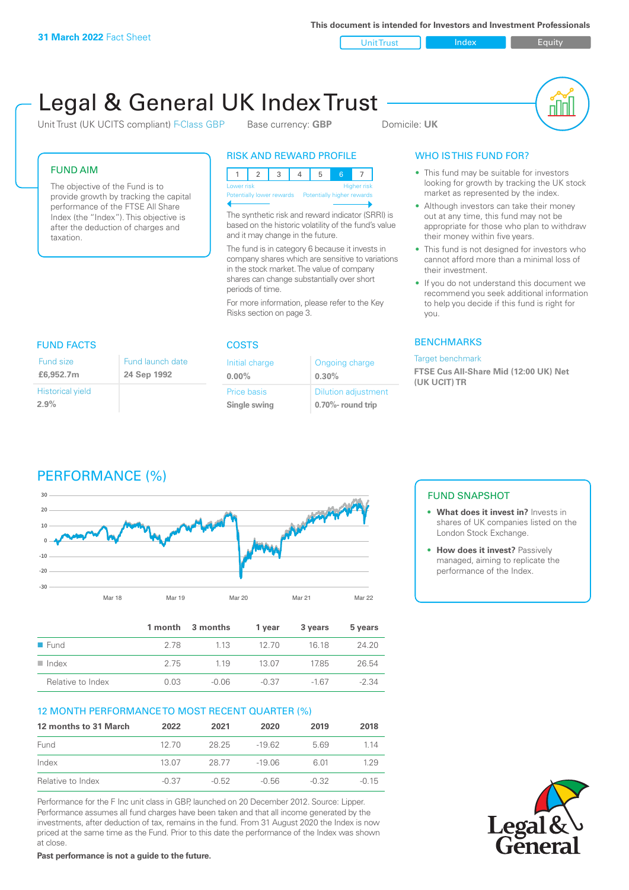**This document is intended for Investors and Investment Professionals**

Unit Trust Index I Equity

# Legal & General UK Index Trust

Unit Trust (UK UCITS compliant) F-Class GBP Base currency: **GBP** Domicile: UK



#### FUND AIM

The objective of the Fund is to provide growth by tracking the capital performance of the FTSE All Share Index (the "Index"). This objective is after the deduction of charges and taxation.

#### RISK AND REWARD PROFILE

| <b>Higher risk</b><br>Lower risk |  |  |  |  |  |                            |  |
|----------------------------------|--|--|--|--|--|----------------------------|--|
| Potentially lower rewards        |  |  |  |  |  | Potentially higher rewards |  |
|                                  |  |  |  |  |  |                            |  |

The synthetic risk and reward indicator (SRRI) is based on the historic volatility of the fund's value and it may change in the future.

The fund is in category 6 because it invests in company shares which are sensitive to variations in the stock market. The value of company shares can change substantially over short periods of time.

For more information, please refer to the Key Risks section on page 3.

| <b>FUND FACTS</b>               |                                 |  |  |  |
|---------------------------------|---------------------------------|--|--|--|
| Fund size<br>£6,952.7m          | Fund launch date<br>24 Sep 1992 |  |  |  |
| <b>Historical yield</b><br>2.9% |                                 |  |  |  |

# COSTS

| Initial charge     | Ongoing charge             |
|--------------------|----------------------------|
| $0.00\%$           | 0.30%                      |
| <b>Price basis</b> | <b>Dilution adjustment</b> |
| Single swing       | 0.70%- round trip          |

### WHO IS THIS FUND FOR?

- This fund may be suitable for investors looking for growth by tracking the UK stock market as represented by the index.
- Although investors can take their money out at any time, this fund may not be appropriate for those who plan to withdraw their money within five years.
- This fund is not designed for investors who cannot afford more than a minimal loss of their investment.
- If you do not understand this document we recommend you seek additional information to help you decide if this fund is right for you.

#### **BENCHMARKS**

#### Target benchmark

**FTSE Cus All-Share Mid (12:00 UK) Net (UK UCIT) TR**





|                      |      | 1 month 3 months | 1 year  | 3 years | 5 years |
|----------------------|------|------------------|---------|---------|---------|
| $\blacksquare$ Fund  | 278  | 1 1 3            | 12.70   | 16 18   | 24.20   |
| $\blacksquare$ Index | 2.75 | 1 1 9            | -13.07  | 1785    | 26.54   |
| Relative to Index    | 0.03 | $-0.06$          | $-0.37$ | $-167$  | $-2.34$ |

#### 12 MONTH PERFORMANCE TO MOST RECENT QUARTER (%)

| 12 months to 31 March | 2022    | 2021    | 2020     | 2019  | 2018    |
|-----------------------|---------|---------|----------|-------|---------|
| Fund                  | 12.70   | 28.25   | -19.62   | 569   | 1 14    |
| Index                 | 13.07   | 28.77   | $-19.06$ | 6.01  | 129     |
| Relative to Index     | $-0.37$ | $-0.52$ | $-0.56$  | -0.32 | $-0.15$ |

Performance for the F Inc unit class in GBP, launched on 20 December 2012. Source: Lipper. Performance assumes all fund charges have been taken and that all income generated by the investments, after deduction of tax, remains in the fund. From 31 August 2020 the Index is now priced at the same time as the Fund. Prior to this date the performance of the Index was shown at close.

**Past performance is not a guide to the future.**

### FUND SNAPSHOT

- **• What does it invest in?** Invests in shares of UK companies listed on the London Stock Exchange.
- **• How does it invest?** Passively managed, aiming to replicate the performance of the Index.

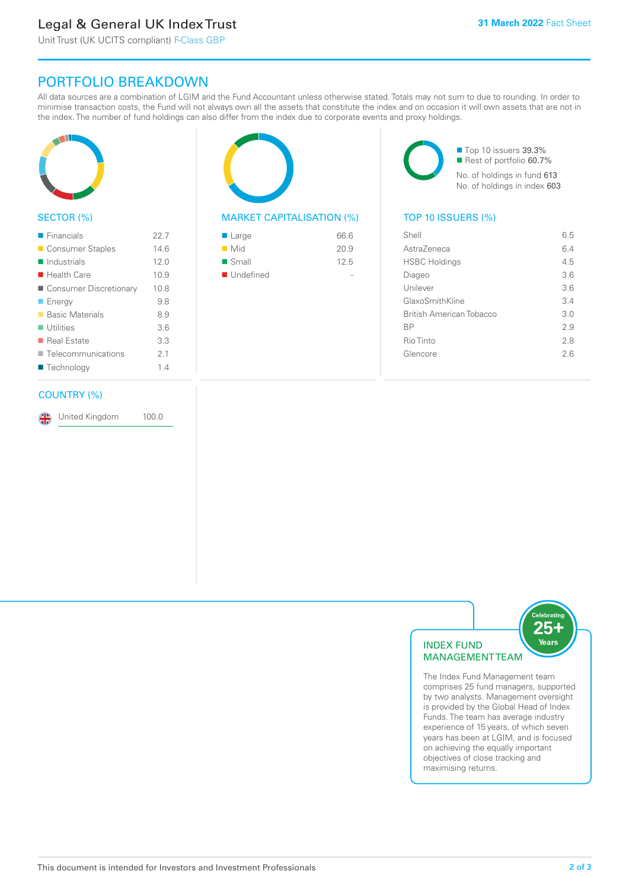# Legal & General UK Index Trust

Unit Trust (UK UCITS compliant) F-Class GBP

## PORTFOLIO BREAKDOWN

All data sources are a combination of LGIM and the Fund Accountant unless otherwise stated. Totals may not sum to due to rounding. In order to minimise transaction costs, the Fund will not always own all the assets that constitute the index and on occasion it will own assets that are not in the index. The number of fund holdings can also differ from the index due to corporate events and proxy holdings.



#### SECTOR (%)

| $\blacksquare$ Financials  | 22.7 |
|----------------------------|------|
| ■ Consumer Staples         | 14.6 |
| $\blacksquare$ Industrials | 12.0 |
| $\blacksquare$ Health Care | 10.9 |
| ■ Consumer Discretionary   | 10.8 |
| $\blacksquare$ Energy      | 9.8  |
| ■ Basic Materials          | 8.9  |
| $\blacksquare$ Utilities   | 3.6  |
| ■ Real Estate              | 3.3  |
| Telecommunications         | 21   |
| ■ Technology               | 14   |
|                            |      |

#### COUNTRY (%)

United Kingdom 100.0

#### MARKET CAPITALISATION (%) TOP 10 ISSUERS (%)

| 66.6 |
|------|
| 20.9 |
| 12.5 |
|      |
|      |

■ Top 10 issuers 39.3% ■ Rest of portfolio 60.7% No. of holdings in fund 613 No. of holdings in index 603

| Shell                    | 6.5 |
|--------------------------|-----|
| AstraZeneca              | 6.4 |
| <b>HSBC Holdings</b>     | 4.5 |
| Diageo                   | 36  |
| Unilever                 | 3.6 |
| GlaxoSmithKline          | 3.4 |
| British American Tobacco | 3.0 |
| ВP                       | 29  |
| Rio Tinto                | 2.8 |
| Glencore                 | 26  |
|                          |     |



The Index Fund Management team comprises 25 fund managers, supported by two analysts. Management oversight is provided by the Global Head of Index Funds. The team has average industry experience of 15 years, of which seven years has been at LGIM, and is focused on achieving the equally important objectives of close tracking and maximising returns.